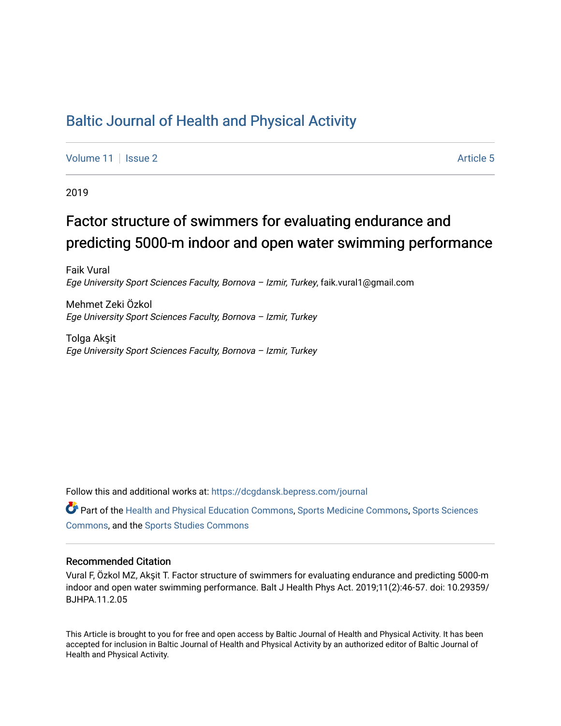# [Baltic Journal of Health and Physical Activity](https://dcgdansk.bepress.com/journal)

[Volume 11](https://dcgdansk.bepress.com/journal/vol11) | [Issue 2](https://dcgdansk.bepress.com/journal/vol11/iss2) Article 5

2019

# Factor structure of swimmers for evaluating endurance and predicting 5000-m indoor and open water swimming performance

Faik Vural Ege University Sport Sciences Faculty, Bornova – Izmir, Turkey, faik.vural1@gmail.com

Mehmet Zeki Özkol Ege University Sport Sciences Faculty, Bornova – Izmir, Turkey

Tolga Akşit Ege University Sport Sciences Faculty, Bornova – Izmir, Turkey

Follow this and additional works at: [https://dcgdansk.bepress.com/journal](https://dcgdansk.bepress.com/journal?utm_source=dcgdansk.bepress.com%2Fjournal%2Fvol11%2Fiss2%2F5&utm_medium=PDF&utm_campaign=PDFCoverPages)

Part of the [Health and Physical Education Commons](http://network.bepress.com/hgg/discipline/1327?utm_source=dcgdansk.bepress.com%2Fjournal%2Fvol11%2Fiss2%2F5&utm_medium=PDF&utm_campaign=PDFCoverPages), [Sports Medicine Commons,](http://network.bepress.com/hgg/discipline/1331?utm_source=dcgdansk.bepress.com%2Fjournal%2Fvol11%2Fiss2%2F5&utm_medium=PDF&utm_campaign=PDFCoverPages) [Sports Sciences](http://network.bepress.com/hgg/discipline/759?utm_source=dcgdansk.bepress.com%2Fjournal%2Fvol11%2Fiss2%2F5&utm_medium=PDF&utm_campaign=PDFCoverPages) [Commons](http://network.bepress.com/hgg/discipline/759?utm_source=dcgdansk.bepress.com%2Fjournal%2Fvol11%2Fiss2%2F5&utm_medium=PDF&utm_campaign=PDFCoverPages), and the [Sports Studies Commons](http://network.bepress.com/hgg/discipline/1198?utm_source=dcgdansk.bepress.com%2Fjournal%2Fvol11%2Fiss2%2F5&utm_medium=PDF&utm_campaign=PDFCoverPages) 

#### Recommended Citation

Vural F, Özkol MZ, Akşit T. Factor structure of swimmers for evaluating endurance and predicting 5000-m indoor and open water swimming performance. Balt J Health Phys Act. 2019;11(2):46-57. doi: 10.29359/ BJHPA.11.2.05

This Article is brought to you for free and open access by Baltic Journal of Health and Physical Activity. It has been accepted for inclusion in Baltic Journal of Health and Physical Activity by an authorized editor of Baltic Journal of Health and Physical Activity.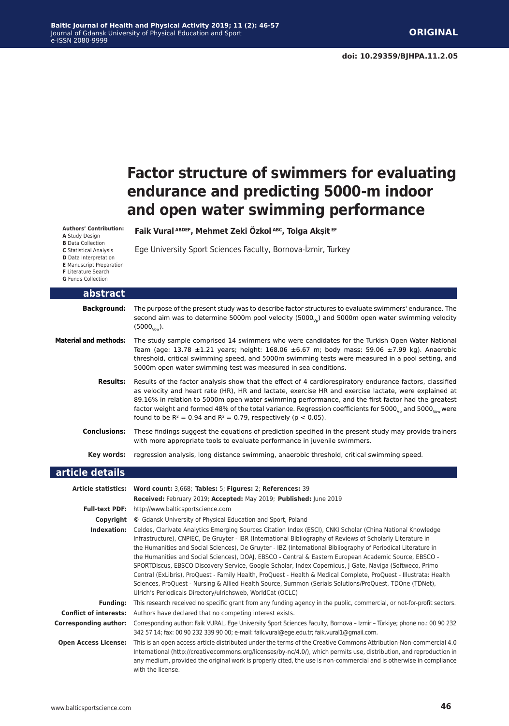# **Factor structure of swimmers for evaluating endurance and predicting 5000-m indoor and open water swimming performance**

**Authors' Contribution: A** Study Design **B** Data Collection **C** Statistical Analysis

**D** Data Interpretation

**E** Manuscript Preparation

**F** Literature Search

**G** Funds Collection

| abstract                     |                                                                                                                                                                                                                                                                                                                                                                                                                                                                                                                                              |
|------------------------------|----------------------------------------------------------------------------------------------------------------------------------------------------------------------------------------------------------------------------------------------------------------------------------------------------------------------------------------------------------------------------------------------------------------------------------------------------------------------------------------------------------------------------------------------|
| <b>Background:</b>           | The purpose of the present study was to describe factor structures to evaluate swimmers' endurance. The<br>second aim was to determine 5000m pool velocity (5000 $_{\rm{vo}}$ ) and 5000m open water swimming velocity<br>$(5000)$ .                                                                                                                                                                                                                                                                                                         |
| <b>Material and methods:</b> | The study sample comprised 14 swimmers who were candidates for the Turkish Open Water National<br>Team (age: 13.78 $\pm$ 1.21 years; height: 168.06 $\pm$ 6.67 m; body mass: 59.06 $\pm$ 7.99 kg). Anaerobic<br>threshold, critical swimming speed, and 5000m swimming tests were measured in a pool setting, and<br>5000m open water swimming test was measured in sea conditions.                                                                                                                                                          |
| <b>Results:</b>              | Results of the factor analysis show that the effect of 4 cardiorespiratory endurance factors, classified<br>as velocity and heart rate (HR), HR and lactate, exercise HR and exercise lactate, were explained at<br>89.16% in relation to 5000m open water swimming performance, and the first factor had the greatest<br>factor weight and formed 48% of the total variance. Regression coefficients for 5000 $_{\nu_{\rm no}}$ and 5000 $_{\nu_{\rm on}}$ were<br>found to be $R^2 = 0.94$ and $R^2 = 0.79$ , respectively ( $p < 0.05$ ). |
| <b>Conclusions:</b>          | These findings suggest the equations of prediction specified in the present study may provide trainers<br>with more appropriate tools to evaluate performance in juvenile swimmers.                                                                                                                                                                                                                                                                                                                                                          |
| Key words:                   | regression analysis, long distance swimming, anaerobic threshold, critical swimming speed.                                                                                                                                                                                                                                                                                                                                                                                                                                                   |
| article details              |                                                                                                                                                                                                                                                                                                                                                                                                                                                                                                                                              |
|                              | Article statistics: Word count: 3,668; Tables: 5; Figures: 2; References: 39<br>Received: February 2019; Accepted: May 2019; Published: June 2019                                                                                                                                                                                                                                                                                                                                                                                            |
|                              | Full-text PDF: http://www.balticsportscience.com                                                                                                                                                                                                                                                                                                                                                                                                                                                                                             |
| Copyright                    | © Gdansk University of Physical Education and Sport, Poland                                                                                                                                                                                                                                                                                                                                                                                                                                                                                  |
| Indexation:                  | Celdes, Clarivate Analytics Emerging Sources Citation Index (ESCI), CNKI Scholar (China National Knowledge<br>Infractructural CNDIEC De Cruytor IPD (International Pibliography of Poviews of Cabolarly Literature in                                                                                                                                                                                                                                                                                                                        |

**Faik Vural ABDEF, Mehmet Zeki Özkol ABC, Tolga Akşit EF**

Ege University Sport Sciences Faculty, Bornova-İzmir, Turkey

Infrastructure), CNPIEC, De Gruyter - IBR (International Bibliography of Reviews of Scholarly Literature in the Humanities and Social Sciences), De Gruyter - IBZ (International Bibliography of Periodical Literature in the Humanities and Social Sciences), DOAJ, EBSCO - Central & Eastern European Academic Source, EBSCO - SPORTDiscus, EBSCO Discovery Service, Google Scholar, Index Copernicus, J-Gate, Naviga (Softweco, Primo Central (ExLibris), ProQuest - Family Health, ProQuest - Health & Medical Complete, ProQuest - Illustrata: Health Sciences, ProQuest - Nursing & Allied Health Source, Summon (Serials Solutions/ProQuest, TDOne (TDNet), Ulrich's Periodicals Directory/ulrichsweb, WorldCat (OCLC)

**Funding:** This research received no specific grant from any funding agency in the public, commercial, or not-for-profit sectors. **Conflict of interests:** Authors have declared that no competing interest exists.

**Corresponding author:** Corresponding author: Faik VURAL, Ege University Sport Sciences Faculty, Bornova – Izmir – Türkiye; phone no.: 00 90 232 342 57 14; fax: 00 90 232 339 90 00; e-mail: faik.vural@ege.edu.tr; faik.vural1@gmail.com.

**Open Access License:** This is an open access article distributed under the terms of the Creative Commons Attribution-Non-commercial 4.0 International (http://creativecommons.org/licenses/by-nc/4.0/), which permits use, distribution, and reproduction in any medium, provided the original work is properly cited, the use is non-commercial and is otherwise in compliance with the license.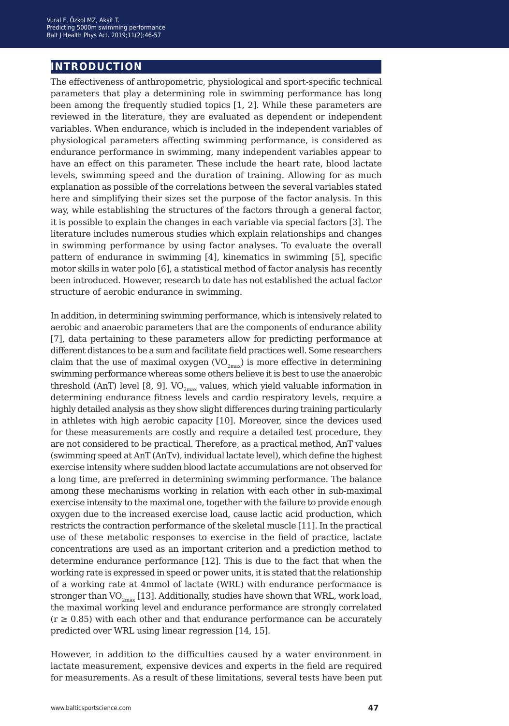## **introduction**

The effectiveness of anthropometric, physiological and sport-specific technical parameters that play a determining role in swimming performance has long been among the frequently studied topics [1, 2]. While these parameters are reviewed in the literature, they are evaluated as dependent or independent variables. When endurance, which is included in the independent variables of physiological parameters affecting swimming performance, is considered as endurance performance in swimming, many independent variables appear to have an effect on this parameter. These include the heart rate, blood lactate levels, swimming speed and the duration of training. Allowing for as much explanation as possible of the correlations between the several variables stated here and simplifying their sizes set the purpose of the factor analysis. In this way, while establishing the structures of the factors through a general factor, it is possible to explain the changes in each variable via special factors [3]. The literature includes numerous studies which explain relationships and changes in swimming performance by using factor analyses. To evaluate the overall pattern of endurance in swimming [4], kinematics in swimming [5], specific motor skills in water polo [6], a statistical method of factor analysis has recently been introduced. However, research to date has not established the actual factor structure of aerobic endurance in swimming.

In addition, in determining swimming performance, which is intensively related to aerobic and anaerobic parameters that are the components of endurance ability [7], data pertaining to these parameters allow for predicting performance at different distances to be a sum and facilitate field practices well. Some researchers claim that the use of maximal oxygen  $(VO_{2max})$  is more effective in determining swimming performance whereas some others believe it is best to use the anaerobic threshold (AnT) level [8, 9].  $VO_{2max}$  values, which yield valuable information in determining endurance fitness levels and cardio respiratory levels, require a highly detailed analysis as they show slight differences during training particularly in athletes with high aerobic capacity [10]. Moreover, since the devices used for these measurements are costly and require a detailed test procedure, they are not considered to be practical. Therefore, as a practical method, AnT values (swimming speed at AnT (AnTv), individual lactate level), which define the highest exercise intensity where sudden blood lactate accumulations are not observed for a long time, are preferred in determining swimming performance. The balance among these mechanisms working in relation with each other in sub-maximal exercise intensity to the maximal one, together with the failure to provide enough oxygen due to the increased exercise load, cause lactic acid production, which restricts the contraction performance of the skeletal muscle [11]. In the practical use of these metabolic responses to exercise in the field of practice, lactate concentrations are used as an important criterion and a prediction method to determine endurance performance [12]. This is due to the fact that when the working rate is expressed in speed or power units, it is stated that the relationship of a working rate at 4mmol of lactate (WRL) with endurance performance is stronger than  $VO_{2<sub>max</sub>}$  [13]. Additionally, studies have shown that WRL, work load, the maximal working level and endurance performance are strongly correlated  $(r \ge 0.85)$  with each other and that endurance performance can be accurately predicted over WRL using linear regression [14, 15].

However, in addition to the difficulties caused by a water environment in lactate measurement, expensive devices and experts in the field are required for measurements. As a result of these limitations, several tests have been put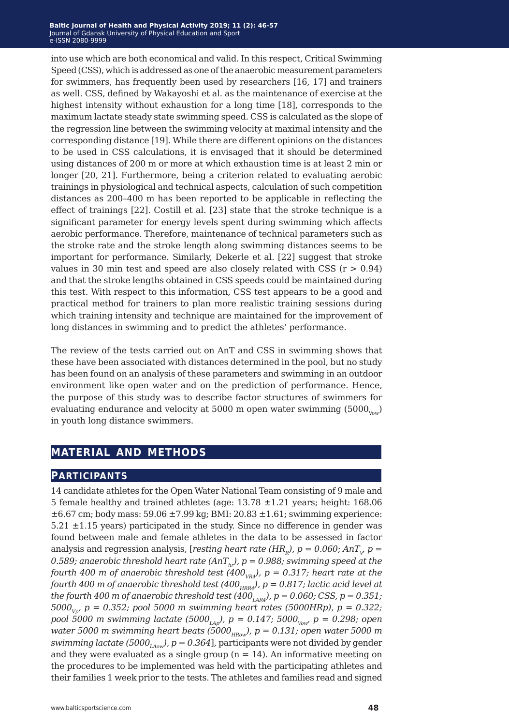#### **Baltic Journal of Health and Physical Activity 2014; 1(1): 1-4 Baltic Journal of Health and Physical Activity 2019; 11 (2): 46-57** Journal of Gdansk University of Physical Education and Sport Journal of Gdansk University of Physical Education and Sport e-ISSN 2080-9999 e-ISSN 2080-9999

into use which are both economical and valid. In this respect, Critical Swimming Speed (CSS), which is addressed as one of the anaerobic measurement parameters for swimmers, has frequently been used by researchers [16, 17] and trainers as well. CSS, defined by Wakayoshi et al. as the maintenance of exercise at the highest intensity without exhaustion for a long time [18], corresponds to the maximum lactate steady state swimming speed. CSS is calculated as the slope of the regression line between the swimming velocity at maximal intensity and the corresponding distance [19]. While there are different opinions on the distances to be used in CSS calculations, it is envisaged that it should be determined using distances of 200 m or more at which exhaustion time is at least 2 min or longer [20, 21]. Furthermore, being a criterion related to evaluating aerobic trainings in physiological and technical aspects, calculation of such competition distances as 200–400 m has been reported to be applicable in reflecting the effect of trainings [22]. Costill et al. [23] state that the stroke technique is a significant parameter for energy levels spent during swimming which affects aerobic performance. Therefore, maintenance of technical parameters such as the stroke rate and the stroke length along swimming distances seems to be important for performance. Similarly, Dekerle et al. [22] suggest that stroke values in 30 min test and speed are also closely related with CSS  $(r > 0.94)$ and that the stroke lengths obtained in CSS speeds could be maintained during this test. With respect to this information, CSS test appears to be a good and practical method for trainers to plan more realistic training sessions during which training intensity and technique are maintained for the improvement of long distances in swimming and to predict the athletes' performance.

The review of the tests carried out on AnT and CSS in swimming shows that these have been associated with distances determined in the pool, but no study has been found on an analysis of these parameters and swimming in an outdoor environment like open water and on the prediction of performance. Hence, the purpose of this study was to describe factor structures of swimmers for evaluating endurance and velocity at 5000 m open water swimming  $(5000_{\text{Vow}})$ in youth long distance swimmers.

## **material and methods**

### **participants**

14 candidate athletes for the Open Water National Team consisting of 9 male and 5 female healthy and trained athletes (age:  $13.78 \pm 1.21$  years; height: 168.06  $\pm 6.67$  cm; body mass:  $59.06 \pm 7.99$  kg; BMI:  $20.83 \pm 1.61$ ; swimming experience:  $5.21 \pm 1.15$  years) participated in the study. Since no difference in gender was found between male and female athletes in the data to be assessed in factor analysis and regression analysis, [*resting heart rate (HR<sub>R</sub>), p = 0.060; AnT<sub>v</sub> p =* 0.589; anaerobic threshold heart rate (AnT<sub>hr</sub>),  $p = 0.988$ ; swimming speed at the *fourth 400 m of anaerobic threshold test (400<sub>VRA</sub>), p = 0.317; heart rate at the fourth 400 m of anaerobic threshold test (400<sub>HRR4</sub>), p = 0.817; lactic acid level at the fourth 400 m of anaerobic threshold test (400<sub>LAR4</sub>), p = 0.060; CSS, p = 0.351;*  $5000_{V_{\text{UV}}}$  p = 0.352; pool 5000 m swimming heart rates (5000HRp), p = 0.322; *pool 5000 m swimming lactate (5000<sub>LAp</sub>), p = 0.147; 5000<sub>Vow</sub>, p = 0.298; open water 5000 m swimming heart beats (5000<sub>HRow</sub>), p = 0.131; open water 5000 m swimming lactate (5000<sub>LAow</sub>), p* = 0.364], participants were not divided by gender and they were evaluated as a single group  $(n = 14)$ . An informative meeting on the procedures to be implemented was held with the participating athletes and their families 1 week prior to the tests. The athletes and families read and signed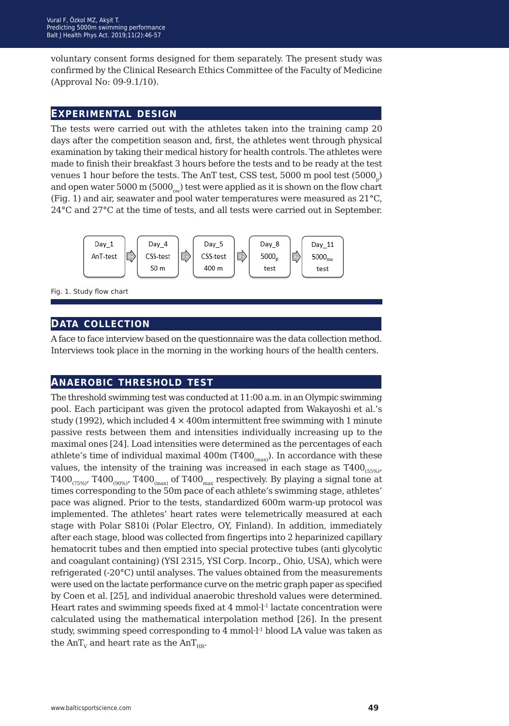voluntary consent forms designed for them separately. The present study was confirmed by the Clinical Research Ethics Committee of the Faculty of Medicine (Approval No: 09-9.1/10).

#### **experimental design**

The tests were carried out with the athletes taken into the training camp 20 days after the competition season and, first, the athletes went through physical examination by taking their medical history for health controls. The athletes were made to finish their breakfast 3 hours before the tests and to be ready at the test venues 1 hour before the tests. The AnT test, CSS test,  $5000 \text{ m pool test}$  ( $5000 \text{ s}$ ) and open water 5000 m (5000<sub>ow</sub>) test were applied as it is shown on the flow chart (Fig. 1) and air, seawater and pool water temperatures were measured as 21°C, 24°C and 27°C at the time of tests, and all tests were carried out in September.



Fig. 1. Study flow chart

### **data collection**

A face to face interview based on the questionnaire was the data collection method. Interviews took place in the morning in the working hours of the health centers.

### **anaerobic threshold test**

The threshold swimming test was conducted at 11:00 a.m. in an Olympic swimming pool. Each participant was given the protocol adapted from Wakayoshi et al.'s study (1992), which included  $4 \times 400$ m intermittent free swimming with 1 minute passive rests between them and intensities individually increasing up to the maximal ones [24]. Load intensities were determined as the percentages of each athlete's time of individual maximal  $400m$  (T $400<sub>(max)</sub>$ ). In accordance with these values, the intensity of the training was increased in each stage as  $T400_{(55\%)}$  $T400_{(75\%)}$ ,  $T400_{(90\%)}$ ,  $T400_{(max)}$  of  $T400_{max}$  respectively. By playing a signal tone at times corresponding to the 50m pace of each athlete's swimming stage, athletes' pace was aligned. Prior to the tests, standardized 600m warm-up protocol was implemented. The athletes' heart rates were telemetrically measured at each stage with Polar S810i (Polar Electro, OY, Finland). In addition, immediately after each stage, blood was collected from fingertips into 2 heparinized capillary hematocrit tubes and then emptied into special protective tubes (anti glycolytic and coagulant containing) (YSI 2315, YSI Corp. Incorp., Ohio, USA), which were refrigerated (-20°C) until analyses. The values obtained from the measurements were used on the lactate performance curve on the metric graph paper as specified by Coen et al. [25], and individual anaerobic threshold values were determined. Heart rates and swimming speeds fixed at 4 mmol·l<sup>-1</sup> lactate concentration were calculated using the mathematical interpolation method [26]. In the present study, swimming speed corresponding to 4 mmol·l<sup>-1</sup> blood LA value was taken as the  $AnT_v$  and heart rate as the  $AnT_{HR}$ .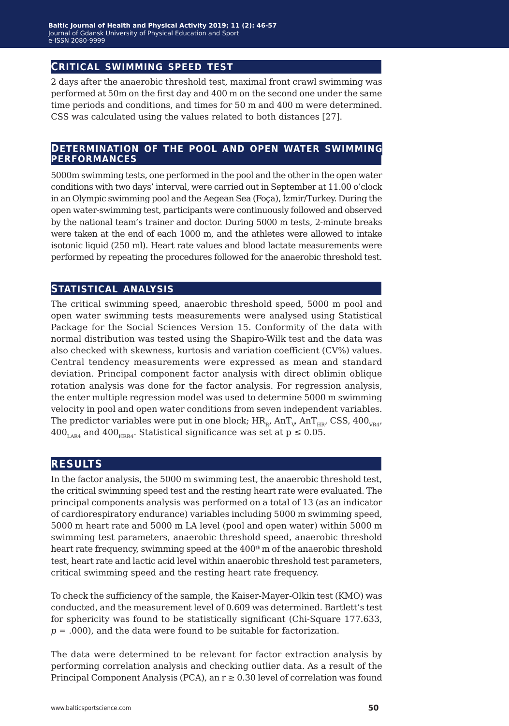#### **critical swimming speed test**

2 days after the anaerobic threshold test, maximal front crawl swimming was performed at 50m on the first day and 400 m on the second one under the same time periods and conditions, and times for 50 m and 400 m were determined. CSS was calculated using the values related to both distances [27].

#### **determination of the pool and open water swimming performances**

5000m swimming tests, one performed in the pool and the other in the open water conditions with two days' interval, were carried out in September at 11.00 o'clock in an Olympic swimming pool and the Aegean Sea (Foça), İzmir/Turkey. During the open water-swimming test, participants were continuously followed and observed by the national team's trainer and doctor. During 5000 m tests, 2-minute breaks were taken at the end of each 1000 m, and the athletes were allowed to intake isotonic liquid (250 ml). Heart rate values and blood lactate measurements were performed by repeating the procedures followed for the anaerobic threshold test.

#### **statistical analysis**

The critical swimming speed, anaerobic threshold speed, 5000 m pool and open water swimming tests measurements were analysed using Statistical Package for the Social Sciences Version 15. Conformity of the data with normal distribution was tested using the Shapiro-Wilk test and the data was also checked with skewness, kurtosis and variation coefficient (CV%) values. Central tendency measurements were expressed as mean and standard deviation. Principal component factor analysis with direct oblimin oblique rotation analysis was done for the factor analysis. For regression analysis, the enter multiple regression model was used to determine 5000 m swimming velocity in pool and open water conditions from seven independent variables. The predictor variables were put in one block;  $\rm{HR}_{_{\rm R} }$  An $\rm{T}_{_{\rm V} }$  An $\rm{T}_{_{\rm HR} }$  CSS, 400 $_{\rm{VRA'}}$ 400<sub>LAR4</sub> and 400<sub>HRR4</sub>. Statistical significance was set at  $p \le 0.05$ .

### **results**

In the factor analysis, the 5000 m swimming test, the anaerobic threshold test, the critical swimming speed test and the resting heart rate were evaluated. The principal components analysis was performed on a total of 13 (as an indicator of cardiorespiratory endurance) variables including 5000 m swimming speed, 5000 m heart rate and 5000 m LA level (pool and open water) within 5000 m swimming test parameters, anaerobic threshold speed, anaerobic threshold heart rate frequency, swimming speed at the 400<sup>th</sup> m of the anaerobic threshold test, heart rate and lactic acid level within anaerobic threshold test parameters, critical swimming speed and the resting heart rate frequency.

To check the sufficiency of the sample, the Kaiser-Mayer-Olkin test (KMO) was conducted, and the measurement level of 0.609 was determined. Bartlett's test for sphericity was found to be statistically significant (Chi-Square 177.633, *p* = .000), and the data were found to be suitable for factorization.

The data were determined to be relevant for factor extraction analysis by performing correlation analysis and checking outlier data. As a result of the Principal Component Analysis (PCA), an  $r \geq 0.30$  level of correlation was found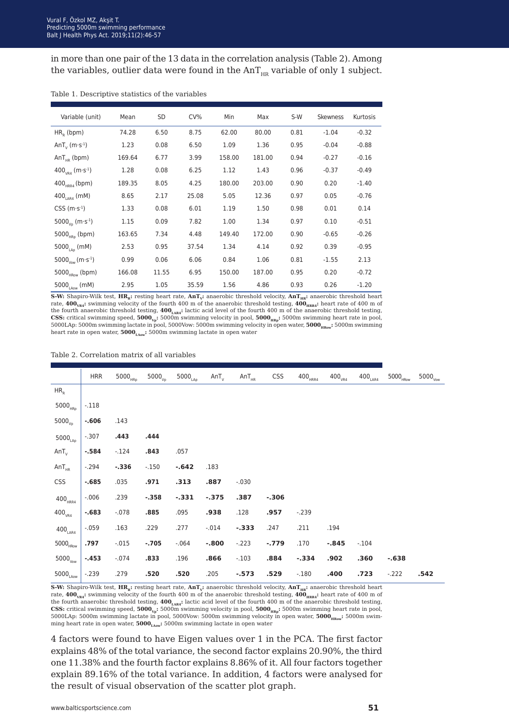in more than one pair of the 13 data in the correlation analysis (Table 2). Among the variables, outlier data were found in the  $AnT<sub>HR</sub>$  variable of only 1 subject.

| Variable (unit)                                    | Mean   | SD    | CV%   | Min    | Max    | $S-W$ | <b>Skewness</b> | Kurtosis |
|----------------------------------------------------|--------|-------|-------|--------|--------|-------|-----------------|----------|
| $HR0$ (bpm)                                        | 74.28  | 6.50  | 8.75  | 62.00  | 80.00  | 0.81  | $-1.04$         | $-0.32$  |
| AnT <sub>v</sub> ( $m·s-1$ )                       | 1.23   | 0.08  | 6.50  | 1.09   | 1.36   | 0.95  | $-0.04$         | $-0.88$  |
| An $T_{HR}$ (bpm)                                  | 169.64 | 6.77  | 3.99  | 158.00 | 181.00 | 0.94  | $-0.27$         | $-0.16$  |
| $400_{VRA}$ (m·s <sup>-1</sup> )                   | 1.28   | 0.08  | 6.25  | 1.12   | 1.43   | 0.96  | $-0.37$         | $-0.49$  |
| $400_{HRRA}$ (bpm)                                 | 189.35 | 8.05  | 4.25  | 180.00 | 203.00 | 0.90  | 0.20            | $-1.40$  |
| 400 <sub>1 AR4</sub> (mM)                          | 8.65   | 2.17  | 25.08 | 5.05   | 12.36  | 0.97  | 0.05            | $-0.76$  |
| $CSS(m·s-1)$                                       | 1.33   | 0.08  | 6.01  | 1.19   | 1.50   | 0.98  | 0.01            | 0.14     |
| 5000 <sub>v<sub>n</sub></sub> (m·s <sup>-1</sup> ) | 1.15   | 0.09  | 7.82  | 1.00   | 1.34   | 0.97  | 0.10            | $-0.51$  |
| $5000_{HRD}$ (bpm)                                 | 163.65 | 7.34  | 4.48  | 149.40 | 172.00 | 0.90  | $-0.65$         | $-0.26$  |
| 5000 <sub>140</sub> (mM)                           | 2.53   | 0.95  | 37.54 | 1.34   | 4.14   | 0.92  | 0.39            | $-0.95$  |
| 5000 <sub>Vow</sub> (m·s <sup>-1</sup> )           | 0.99   | 0.06  | 6.06  | 0.84   | 1.06   | 0.81  | $-1.55$         | 2.13     |
| $5000_{HRow}$ (bpm)                                | 166.08 | 11.55 | 6.95  | 150.00 | 187.00 | 0.95  | 0.20            | $-0.72$  |
| 5000 $_{\text{L}}$ (mM)                            | 2.95   | 1.05  | 35.59 | 1.56   | 4.86   | 0.93  | 0.26            | $-1.20$  |

Table 1. Descriptive statistics of the variables

**S-W:** Shapiro-Wilk test,  $HR_k$ : resting heart rate,  $AnT_{\nu}$ : anaerobic threshold velocity,  $AnT_{\text{HR}}$ : anaerobic threshold heart rate,  $400_{\text{vR4}}$ : swimming velocity of the fourth 400 m of the anaerobic threshold testing,  $400_{\text{HRR4}}$ : heart rate of 400 m of the fourth anaerobic threshold testing,  $400<sub>LAR4</sub>$ : lactic acid level of the fourth 400 m of the anaerobic threshold testing, **CSS:** critical swimming speed,  $5000_{\text{v}}$ :  $5000_{\text{m}}$  swimming velocity in pool,  $5000_{\text{H}}$ ;  $5000$ m swimming heart rate in pool, 5000LAp: 5000m swimming lactate in pool, 5000Vow: 5000m swimming velocity in open water, 5000<sub>HRow</sub>: 5000m swimming heart rate in open water, **5000<sub>LAow</sub>:** 5000m swimming lactate in open water

#### Table 2. Correlation matrix of all variables

|                             | <b>HRR</b> | $5000_{HRD}$ | $5000_{\rm Vp}$ | $5000_{\text{\tiny{LAp}}}$ | $AnT_{v}$ | $AnT_{HR}$ | <b>CSS</b> | $400_{\scriptscriptstyle \rm HRR4}$ | $400_{\tiny \rm VR4}$ | $400_{\text{\tiny{LAR4}}}$ | $5000_{\rm HRow}$ | $5000_{\tiny \text{Vow}}$ |
|-----------------------------|------------|--------------|-----------------|----------------------------|-----------|------------|------------|-------------------------------------|-----------------------|----------------------------|-------------------|---------------------------|
| HR <sub>R</sub>             |            |              |                 |                            |           |            |            |                                     |                       |                            |                   |                           |
| $5000_{HRD}$                | $-.118$    |              |                 |                            |           |            |            |                                     |                       |                            |                   |                           |
| $5000_{\rm Vp}$             | $-.606$    | .143         |                 |                            |           |            |            |                                     |                       |                            |                   |                           |
| $5000_{\text{Lap}}$         | $-.307$    | .443         | .444            |                            |           |            |            |                                     |                       |                            |                   |                           |
| $AnT_v$                     | $-.584$    | $-.124$      | .843            | .057                       |           |            |            |                                     |                       |                            |                   |                           |
| AnT <sub>HR</sub>           | $-.294$    | $-.336$      | $-0.150$        | $-.642$                    | .183      |            |            |                                     |                       |                            |                   |                           |
| <b>CSS</b>                  | $-685$     | .035         | .971            | .313                       | .887      | $-.030$    |            |                                     |                       |                            |                   |                           |
| $400_{\tt HRR4}$            | $-.006$    | .239         | $-.358$         | $-.331$                    | $-.375$   | .387       | $-.306$    |                                     |                       |                            |                   |                           |
| $400_{VR4}$                 | $-.683$    | $-.078$      | .885            | .095                       | .938      | .128       | .957       | $-.239$                             |                       |                            |                   |                           |
| $400_{\text{\tiny{LAR4}}}$  | $-.059$    | .163         | .229            | .277                       | $-.014$   | $-.333$    | .247       | .211                                | .194                  |                            |                   |                           |
| $5000_{\mbox{\tiny HRow}}$  | .797       | $-.015$      | $-.705$         | $-.064$                    | $-0.800$  | $-.223$    | $-.779$    | .170                                | $-.845$               | $-.104$                    |                   |                           |
| $5000_{\tiny \text{Vow}}$   | $-.453$    | $-.074$      | .833            | .196                       | .866      | $-.103$    | .884       | $-.334$                             | .902                  | .360                       | $-.638$           |                           |
| $5000_{\text{\tiny{LAow}}}$ | $-.239$    | .279         | .520            | .520                       | .205      | $-.573$    | .529       | $-.180$                             | .400                  | .723                       | $-.222$           | .542                      |
|                             |            |              |                 |                            |           |            |            |                                     |                       |                            |                   |                           |

**S-W:** Shapiro-Wilk test,  $\mathbf{HR}_{R}$ : resting heart rate,  $\mathbf{AnT}_{V}$ : anaerobic threshold velocity,  $\mathbf{AnT}_{HR}$ : anaerobic threshold heart rate,  $400_{\text{VRA}}$ : swimming velocity of the fourth 400 m of the anaerobic threshold testing,  $400_{\text{HRRI}}$ : heart rate of 400 m of the fourth anaerobic threshold testing,  $400_{\text{LAR}i}$  lactic acid level of the fourth 400 m of the anaerobic threshold testing, **CSS:** critical swimming speed, **5000<sub>Vs</sub>:** 5000m swimming velocity in pool, **5000<sub>HRp</sub>:** 5000m swimming heart rate in pool, 5000LAp: 5000m swimming lactate in pool, 5000Vow: 5000m swimming velocity in open water, 5000<sub>HRow</sub>: 5000m swimming heart rate in open water, **5000<sub>LAow</sub>:** 5000m swimming lactate in open water

4 factors were found to have Eigen values over 1 in the PCA. The first factor explains 48% of the total variance, the second factor explains 20.90%, the third one 11.38% and the fourth factor explains 8.86% of it. All four factors together explain 89.16% of the total variance. In addition, 4 factors were analysed for the result of visual observation of the scatter plot graph.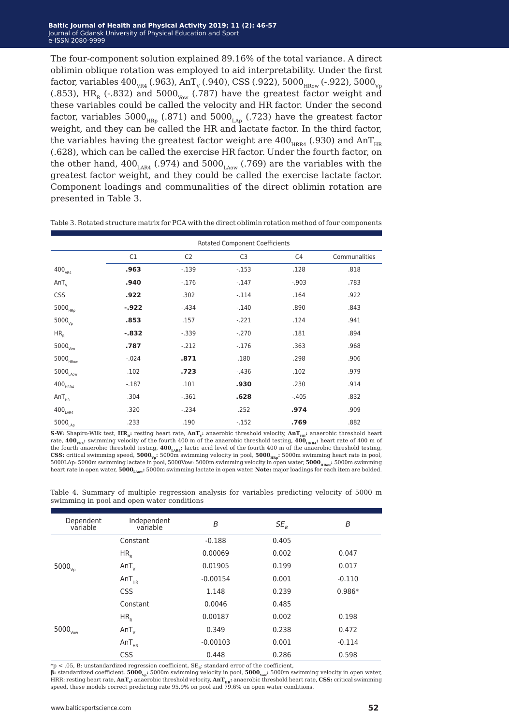The four-component solution explained 89.16% of the total variance. A direct oblimin oblique rotation was employed to aid interpretability. Under the first factor, variables  $400_{VR4}$  (.963), AnT<sub>v</sub> (.940), CSS (.922), 5000<sub>HRow</sub> (-.922), 5000<sub>Vp</sub> (.853), HR<sub>R</sub> (-.832) and 5000<sub>Vow</sub> (.787) have the greatest factor weight and these variables could be called the velocity and HR factor. Under the second factor, variables  $5000<sub>HRp</sub>$  (.871) and  $5000<sub>tan</sub>$  (.723) have the greatest factor weight, and they can be called the HR and lactate factor. In the third factor, the variables having the greatest factor weight are  $400<sub>HRRA</sub>$  (.930) and AnT<sub>HR</sub> (.628), which can be called the exercise HR factor. Under the fourth factor, on the other hand,  $400_{\text{\tiny{LAR4}}}$  (.974) and  $5000_{\text{\tiny{LAOW}}}$  (.769) are the variables with the greatest factor weight, and they could be called the exercise lactate factor. Component loadings and communalities of the direct oblimin rotation are presented in Table 3.

|                                    | <b>Rotated Component Coefficients</b> |                |                |                |               |  |  |  |
|------------------------------------|---------------------------------------|----------------|----------------|----------------|---------------|--|--|--|
|                                    | C1                                    | C <sub>2</sub> | C <sub>3</sub> | C <sub>4</sub> | Communalities |  |  |  |
| $400_{VR4}$                        | .963                                  | $-.139$        | $-.153$        | .128           | .818          |  |  |  |
| $AnT_{v}$                          | .940                                  | $-.176$        | $-.147$        | $-.903$        | .783          |  |  |  |
| <b>CSS</b>                         | .922                                  | .302           | $-.114$        | .164           | .922          |  |  |  |
| $5000_{\mbox{\tiny HRp}}$          | $-.922$                               | $-.434$        | $-.140$        | .890           | .843          |  |  |  |
| $5000_{\nu D}$                     | .853                                  | .157           | $-.221$        | .124           | .941          |  |  |  |
| HR <sub>R</sub>                    | $-.832$                               | $-.339$        | $-.270$        | .181           | .894          |  |  |  |
| $5000_{\text{Vow}}$                | .787                                  | $-.212$        | $-.176$        | .363           | .968          |  |  |  |
| $5000_{\mbox{\tiny HRow}}$         | $-.024$                               | .871           | .180           | .298           | .906          |  |  |  |
| $5000_{\rm LAow}$                  | .102                                  | .723           | $-.436$        | .102           | .979          |  |  |  |
| $400_{\scriptscriptstyle \rm HRA}$ | $-.187$                               | .101           | .930           | .230           | .914          |  |  |  |
| AnT <sub>HR</sub>                  | .304                                  | $-.361$        | .628           | $-.405$        | .832          |  |  |  |
| 400 <sub>LAR4</sub>                | .320                                  | $-.234$        | .252           | .974           | .909          |  |  |  |
| $5000_{\text{\tiny{LAp}}}$         | .233                                  | .190           | $-.152$        | .769           | .882          |  |  |  |

Table 3. Rotated structure matrix for PCA with the direct oblimin rotation method of four components

**S-W:** Shapiro-Wilk test, **HR**<sub>r</sub>: resting heart rate, **AnT**<sub>r</sub>: anaerobic threshold velocity, **AnT**<sub>rr</sub>: anaerobic threshold heart rate,  $400_{\text{vnd}}$ : swimming velocity of the fourth 400 m of the anaerobic threshold testing,  $400_{\text{mrad}}$ : heart rate of 400 m of the fourth anaerobic threshold testing,  $400_{\text{LAR4}}$ : lactic acid level of the fourth 400 m of the anaerobic threshold testing, **CSS:** critical swimming speed,  $5000_{\text{vs.}}$ :  $5000\text{m}$  swimming velocity in pool,  $5000_{\text{vs.}}$ :  $5000\text{m}$  swimming heart rate in pool, 5000LAp: 5000m swimming lactate in pool, 5000Vow: 5000m swimming velocity in open water, **5000<sub>HRow</sub>:** 5000m swimming heart rate in open water, **5000<sub>Laow</sub>:** 5000m swimming lactate in open water. **Note:** major loadings for each item are bolded.

|  | Table 4. Summary of multiple regression analysis for variables predicting velocity of 5000 m |  |  |  |  |  |
|--|----------------------------------------------------------------------------------------------|--|--|--|--|--|
|  | swimming in pool and open water conditions                                                   |  |  |  |  |  |

| Dependent<br>variable      | Independent<br>variable | B          | $SE_{R}$ | B        |
|----------------------------|-------------------------|------------|----------|----------|
|                            | Constant                | $-0.188$   | 0.405    |          |
|                            | HR <sub>R</sub>         | 0.00069    | 0.002    | 0.047    |
| $5000_{\rm Vp}$            | $AnT_{v}$               | 0.01905    | 0.199    | 0.017    |
|                            | AnT <sub>HR</sub>       | $-0.00154$ | 0.001    | $-0.110$ |
|                            | <b>CSS</b>              | 1.148      | 0.239    | $0.986*$ |
|                            | Constant                | 0.0046     | 0.485    |          |
|                            | HR <sub>R</sub>         | 0.00187    | 0.002    | 0.198    |
| $5000_{\tiny{\text{Vow}}}$ | $AnT_v$                 | 0.349      | 0.238    | 0.472    |
|                            | AnT <sub>HR</sub>       | $-0.00103$ | 0.001    | $-0.114$ |
|                            | <b>CSS</b>              | 0.448      | 0.286    | 0.598    |

 $np < .05$ , B: unstandardized regression coefficient, SE<sub>R</sub>: standard error of the coefficient, **β:** standardized coefficient. **5000**<sub>v</sub><sub>n</sub>: 5000m swimming velocity in pool, **5000**<sub>νοw</sub>: 5000m swimming velocity in open water,

HRR: resting heart rate,  $AnT_v$ : anaerobic threshold velocity,  $AnT_{HR}$ : anaerobic threshold heart rate, **CSS:** critical swimming speed, these models correct predicting rate 95.9% on pool and 79.6% on open water conditions.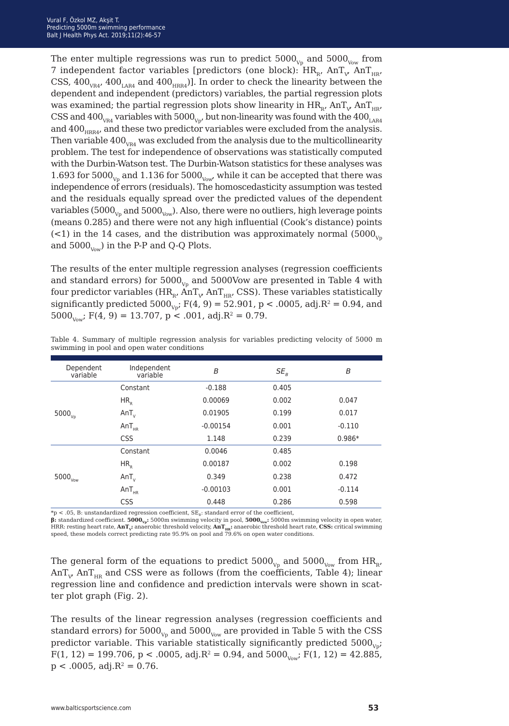The enter multiple regressions was run to predict  $5000<sub>V</sub>$  and  $5000<sub>V</sub>$  from 7 independent factor variables [predictors (one block):  $\rm{HR}_{_R}$ ,  $\rm{AnT}_{_V}$   $\rm{AnT}_{_{HK'}}$ CSS,  $400<sub>VRA</sub>$ ,  $400<sub>LABA</sub>$  and  $400<sub>HRA</sub>$ ). In order to check the linearity between the dependent and independent (predictors) variables, the partial regression plots was examined; the partial regression plots show linearity in  $\rm{HR}_{_{R'}}$  An $\rm{T}_{_{V}}$  An $\rm{T}_{_{HR'}}$ CSS and  $400_{VRA}$  variables with  $5000_{Vp}$ , but non-linearity was found with the  $400_{LABA}$ and  $400<sub>HRR4</sub>$ , and these two predictor variables were excluded from the analysis. Then variable  $400<sub>VRA</sub>$  was excluded from the analysis due to the multicollinearity problem. The test for independence of observations was statistically computed with the Durbin-Watson test. The Durbin-Watson statistics for these analyses was 1.693 for 5000 $_{V_p}$  and 1.136 for 5000 $_{V_0w}$ , while it can be accepted that there was independence of errors (residuals). The homoscedasticity assumption was tested and the residuals equally spread over the predicted values of the dependent variables (5000 $_{\rm Vp}$  and 5000 $_{\rm Vp}$ ). Also, there were no outliers, high leverage points (means 0.285) and there were not any high influential (Cook's distance) points  $(<1)$  in the 14 cases, and the distribution was approximately normal (5000 $<sub>v</sub>$ </sub> and  $5000_{\text{Vow}}$ ) in the P-P and Q-Q Plots.

The results of the enter multiple regression analyses (regression coefficients and standard errors) for  $5000<sub>yn</sub>$  and  $5000$ Vow are presented in Table 4 with four predictor variables (HR<sub>R</sub>, AnT<sub><sub>V</sub>, AnT<sub>HR</sub>, CSS). These variables statistically</sub> significantly predicted  $5000_{\text{Vp}}$ ; F(4, 9) = 52.901, p < .0005, adj.R<sup>2</sup> = 0.94, and  $5000_{\text{Vow}}$ ; F(4, 9) = 13.707, p < .001, adj.R<sup>2</sup> = 0.79.

| Dependent<br>variable      | Independent<br>variable | B          | $SE_R$ | B        |
|----------------------------|-------------------------|------------|--------|----------|
|                            | Constant                | $-0.188$   | 0.405  |          |
|                            | HR <sub>R</sub>         | 0.00069    | 0.002  | 0.047    |
| $5000_{Vp}$                | $AnT_{v}$               | 0.01905    | 0.199  | 0.017    |
|                            | AnT <sub>HR</sub>       | $-0.00154$ | 0.001  | $-0.110$ |
|                            | <b>CSS</b>              | 1.148      | 0.239  | $0.986*$ |
|                            | Constant                | 0.0046     | 0.485  |          |
|                            | HR <sub>R</sub>         | 0.00187    | 0.002  | 0.198    |
| $5000_{\tiny{\text{Vow}}}$ | $AnT_{v}$               | 0.349      | 0.238  | 0.472    |
|                            | AnT <sub>HR</sub>       | $-0.00103$ | 0.001  | $-0.114$ |
|                            | <b>CSS</b>              | 0.448      | 0.286  | 0.598    |

Table 4. Summary of multiple regression analysis for variables predicting velocity of 5000 m swimming in pool and open water conditions

 $*p < .05$ , B: unstandardized regression coefficient,  $SE_{B}$ : standard error of the coefficient,

**β:** standardized coefficient. **5000Vp:** 5000m swimming velocity in pool, **5000Vow:** 5000m swimming velocity in open water, HRR: resting heart rate, **AnT<sub>V</sub>:** anaerobic threshold velocity,  $\text{AnT}_{HR}$ : anaerobic threshold heart rate, **CSS:** critical swimming speed, these models correct predicting rate 95.9% on pool and 79.6% on open water conditions.

The general form of the equations to predict  $5000_{V_p}$  and  $5000_{V_{ow}}$  from  $HR_R$ , AnT $_{\textrm{\tiny{V}}}$  AnT $_{\textrm{\tiny{HR}}}$  and CSS were as follows (from the coefficients, Table 4); linear regression line and confidence and prediction intervals were shown in scatter plot graph (Fig. 2).

The results of the linear regression analyses (regression coefficients and standard errors) for  $5000<sub>V</sub>$  and  $5000<sub>V</sub>$  are provided in Table 5 with the CSS predictor variable. This variable statistically significantly predicted  $5000<sub>Vp</sub>$ ;  $F(1, 12) = 199.706$ , p < .0005, adj.R<sup>2</sup> = 0.94, and 5000<sub>Vow</sub>;  $F(1, 12) = 42.885$ ,  $p < .0005$ , adj. $R^2 = 0.76$ .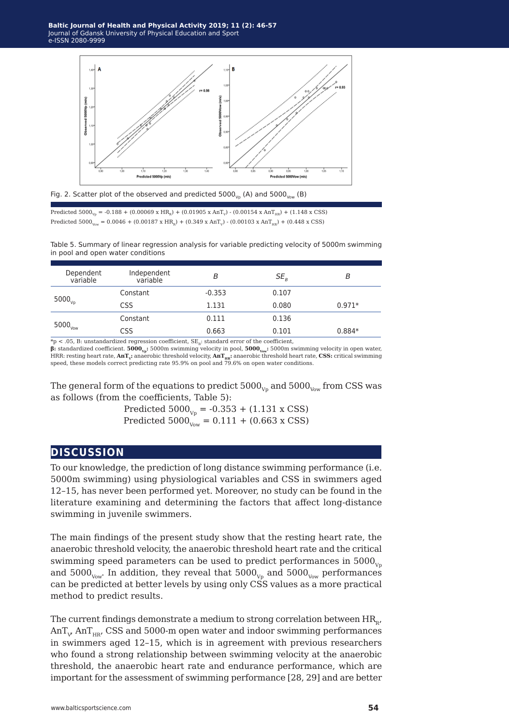

Fig. 2. Scatter plot of the observed and predicted  $5000_{\text{V}}$  (A) and  $5000_{\text{V}}$  (B)

Predicted  $5000_{\text{V}_p} = -0.188 + (0.00069 \text{ x HR}_{\text{R}}) + (0.01905 \text{ x AnT}_{\text{V}}) - (0.00154 \text{ x AnT}_{\text{HP}}) + (1.148 \text{ x CSS})$ Predicted  $5000_{\text{Vow}} = 0.0046 + (0.00187 \text{ x HR}_{\text{R}}) + (0.349 \text{ x AnT}_{\text{V}}) - (0.00103 \text{ x AnT}_{\text{HR}}) + (0.448 \text{ x CSS})$ 

Table 5. Summary of linear regression analysis for variable predicting velocity of 5000m swimming in pool and open water conditions

| Dependent<br>variable | Independent<br>variable | B        | $SE_{\scriptscriptstyle R}$ | В        |
|-----------------------|-------------------------|----------|-----------------------------|----------|
| $5000_{Vp}$           | Constant                | $-0.353$ | 0.107                       |          |
|                       | CSS                     | 1.131    | 0.080                       | $0.971*$ |
| $5000_{\text{Vow}}$   | Constant                | 0.111    | 0.136                       |          |
|                       | <b>CSS</b>              | 0.663    | 0.101                       | $0.884*$ |
|                       |                         | .        |                             |          |

 $*_p$  < .05, B: unstandardized regression coefficient, SE<sub>n</sub>: standard error of the coefficient,

**β:** standardized coefficient. **5000<sub>Vp</sub>:** 5000m swimming velocity in pool, **5000<sub>Vow</sub>:** 5000m swimming velocity in open water, HRR: resting heart rate,  $\text{AnT}_\mathbf{v}$ : anaerobic threshold velocity,  $\text{AnT}_\text{IR}$ : anaerobic threshold heart rate,  $\text{CSS:}$  critical swimming<br>speed, these models correct predicting rate 95.9% on pool and 79.6% on open

The general form of the equations to predict  $5000_{\rm Vp}$  and  $5000_{\rm Vp}$  from CSS was as follows (from the coefficients, Table 5):

> Predicted  $5000_{\text{Vp}} = -0.353 + (1.131 \text{ x CSS})$ Predicted  $5000^{\frac{1}{V_{\text{OW}}}} = 0.111 + (0.663 \text{ x CSS})$

## **discussion**

To our knowledge, the prediction of long distance swimming performance (i.e. 5000m swimming) using physiological variables and CSS in swimmers aged 12–15, has never been performed yet. Moreover, no study can be found in the literature examining and determining the factors that affect long-distance swimming in juvenile swimmers.

The main findings of the present study show that the resting heart rate, the anaerobic threshold velocity, the anaerobic threshold heart rate and the critical swimming speed parameters can be used to predict performances in  $5000<sub>vo</sub>$ and  $5000_{\text{Vow}}$ . In addition, they reveal that  $5000_{\text{Vp}}$  and  $5000_{\text{Vow}}$  performances can be predicted at better levels by using only CSS values as a more practical method to predict results.

The current findings demonstrate a medium to strong correlation between  $HR_{R}$ , AnT $_{\rm v}$  AnT $_{\rm\scriptscriptstyle HR}$ , CSS and 5000-m open water and indoor swimming performances in swimmers aged 12–15, which is in agreement with previous researchers who found a strong relationship between swimming velocity at the anaerobic threshold, the anaerobic heart rate and endurance performance, which are important for the assessment of swimming performance [28, 29] and are better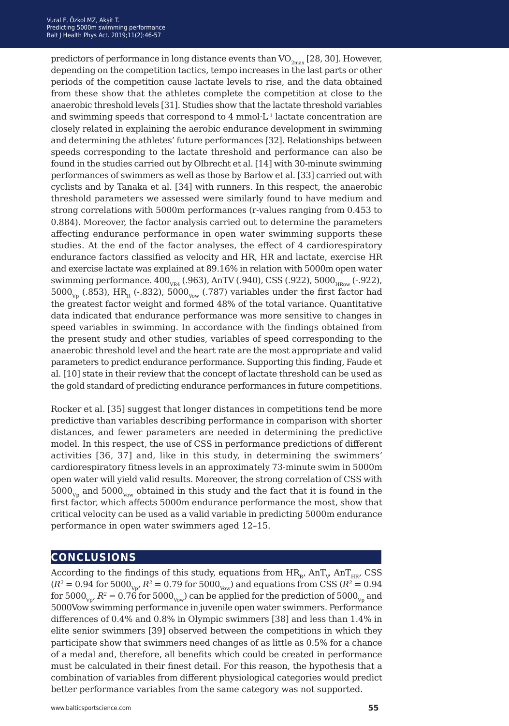predictors of performance in long distance events than  $VO_{2max}$  [28, 30]. However, depending on the competition tactics, tempo increases in the last parts or other periods of the competition cause lactate levels to rise, and the data obtained from these show that the athletes complete the competition at close to the anaerobic threshold levels [31]. Studies show that the lactate threshold variables and swimming speeds that correspond to 4 mmol·L-1 lactate concentration are closely related in explaining the aerobic endurance development in swimming and determining the athletes' future performances [32]. Relationships between speeds corresponding to the lactate threshold and performance can also be found in the studies carried out by Olbrecht et al. [14] with 30-minute swimming performances of swimmers as well as those by Barlow et al. [33] carried out with cyclists and by Tanaka et al. [34] with runners. In this respect, the anaerobic threshold parameters we assessed were similarly found to have medium and strong correlations with 5000m performances (r-values ranging from 0.453 to 0.884). Moreover, the factor analysis carried out to determine the parameters affecting endurance performance in open water swimming supports these studies. At the end of the factor analyses, the effect of 4 cardiorespiratory endurance factors classified as velocity and HR, HR and lactate, exercise HR and exercise lactate was explained at 89.16% in relation with 5000m open water swimming performance.  $400_{\text{vR4}}$  (.963), AnTV (.940), CSS (.922), 5000 $_{\text{HRow}}$  (-.922),  $5000_{v_p}$  (.853), HR<sub>R</sub> (-.832),  $5000_{v_{p}}$  (.787) variables under the first factor had the greatest factor weight and formed 48% of the total variance. Quantitative data indicated that endurance performance was more sensitive to changes in speed variables in swimming. In accordance with the findings obtained from the present study and other studies, variables of speed corresponding to the anaerobic threshold level and the heart rate are the most appropriate and valid parameters to predict endurance performance. Supporting this finding, Faude et al. [10] state in their review that the concept of lactate threshold can be used as the gold standard of predicting endurance performances in future competitions.

Rocker et al. [35] suggest that longer distances in competitions tend be more predictive than variables describing performance in comparison with shorter distances, and fewer parameters are needed in determining the predictive model. In this respect, the use of CSS in performance predictions of different activities [36, 37] and, like in this study, in determining the swimmers' cardiorespiratory fitness levels in an approximately 73-minute swim in 5000m open water will yield valid results. Moreover, the strong correlation of CSS with  $5000_{v_p}$  and  $5000_{v_{ow}}$  obtained in this study and the fact that it is found in the first factor, which affects 5000m endurance performance the most, show that critical velocity can be used as a valid variable in predicting 5000m endurance performance in open water swimmers aged 12–15.

### **conclusions**

According to the findings of this study, equations from  $\rm{HR}_{_R}$ ,  $\rm{AnT}_{_V}$   $\rm{AnT}_{_{HK'}}$   $\rm{CSS}$  $(R^2 = 0.94$  for 5000<sub>Vp</sub>,  $R^2 = 0.79$  for 5000<sub>Vow</sub>) and equations from CSS ( $R^2 = 0.94$ ) for 5000<sub>Vp</sub>,  $R^2 = 0.76$  for 5000<sub>Vow</sub>) can be applied for the prediction of 5000<sub>Vp</sub> and 5000Vow swimming performance in juvenile open water swimmers. Performance differences of 0.4% and 0.8% in Olympic swimmers [38] and less than 1.4% in elite senior swimmers [39] observed between the competitions in which they participate show that swimmers need changes of as little as 0.5% for a chance of a medal and, therefore, all benefits which could be created in performance must be calculated in their finest detail. For this reason, the hypothesis that a combination of variables from different physiological categories would predict better performance variables from the same category was not supported.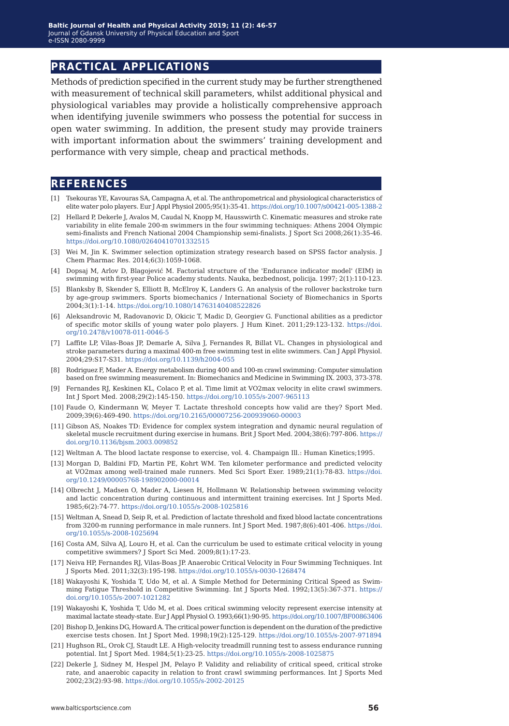## **practical applications**

Methods of prediction specified in the current study may be further strengthened with measurement of technical skill parameters, whilst additional physical and physiological variables may provide a holistically comprehensive approach when identifying juvenile swimmers who possess the potential for success in open water swimming. In addition, the present study may provide trainers with important information about the swimmers' training development and performance with very simple, cheap and practical methods.

### **references**

- [1] Tsekouras YE, Kavouras SA, Campagna A, et al. The anthropometrical and physiological characteristics of elite water polo players. Eur J Appl Physiol 2005;95(1):35-41.<https://doi.org/10.1007/s00421-005-1388-2>
- [2] Hellard P, Dekerle J, Avalos M, Caudal N, Knopp M, Hausswirth C. Kinematic measures and stroke rate variability in elite female 200-m swimmers in the four swimming techniques: Athens 2004 Olympic semi-finalists and French National 2004 Championship semi-finalists. J Sport Sci 2008;26(1):35-46. <https://doi.org/10.1080/02640410701332515>
- [3] Wei M, Jin K. Swimmer selection optimization strategy research based on SPSS factor analysis. J Chem Pharmac Res. 2014;6(3):1059-1068.
- [4] Dopsaj M, Arlov D, Blagojević M. Factorial structure of the 'Endurance indicator model' (EIM) in swimming with first-year Police academy students. Nauka, bezbednost, policija. 1997; 2(1):110-123.
- [5] Blanksby B, Skender S, Elliott B, McElroy K, Landers G. An analysis of the rollover backstroke turn by age-group swimmers. Sports biomechanics / International Society of Biomechanics in Sports 2004;3(1):1-14. <https://doi.org/10.1080/14763140408522826>
- [6] Aleksandrovic M, Radovanovic D, Okicic T, Madic D, Georgiev G. Functional abilities as a predictor of specific motor skills of young water polo players. J Hum Kinet. 2011;29:123-132. [https://doi.](https://doi.org/10.2478/v10078-011-0046-5) [org/10.2478/v10078-011-0046-5](https://doi.org/10.2478/v10078-011-0046-5)
- [7] Laffite LP, Vilas-Boas JP, Demarle A, Silva J, Fernandes R, Billat VL. Changes in physiological and stroke parameters during a maximal 400-m free swimming test in elite swimmers. Can J Appl Physiol. 2004;29:S17-S31. [https://doi.org/10.1139/h2004-055](https://doi.org/10.1139/h2004-055
 )
- [8] Rodriguez F, Mader A. Energy metabolism during 400 and 100-m crawl swimming: Computer simulation based on free swimming measurement. In: Biomechanics and Medicine in Swimming IX. 2003, 373-378.
- [9] Fernandes RJ, Keskinen KL, Colaco P, et al. Time limit at VO2max velocity in elite crawl swimmers. Int J Sport Med. 2008;29(2):145-150.<https://doi.org/10.1055/s-2007-965113>
- [10] Faude O, Kindermann W, Meyer T. Lactate threshold concepts how valid are they? Sport Med. 2009;39(6):469-490. <https://doi.org/10.2165/00007256-200939060-00003>
- [11] Gibson AS, Noakes TD: Evidence for complex system integration and dynamic neural regulation of skeletal muscle recruitment during exercise in humans. Brit J Sport Med. 2004;38(6):797-806. [https://](https://doi.org/10.1136/bjsm.2003.009852) [doi.org/10.1136/bjsm.2003.009852](https://doi.org/10.1136/bjsm.2003.009852)
- [12] Weltman A. The blood lactate response to exercise, vol. 4. Champaign Ill.: Human Kinetics;1995.
- [13] Morgan D, Baldini FD, Martin PE, Kohrt WM. Ten kilometer performance and predicted velocity at VO2max among well-trained male runners. Med Sci Sport Exer. 1989;21(1):78-83. [https://doi.](https://doi.org/10.1249/00005768-198902000-00014) [org/10.1249/00005768-198902000-00014](https://doi.org/10.1249/00005768-198902000-00014)
- [14] Olbrecht J, Madsen O, Mader A, Liesen H, Hollmann W. Relationship between swimming velocity and lactic concentration during continuous and intermittent training exercises. Int J Sports Med. 1985;6(2):74-77.<https://doi.org/10.1055/s-2008-1025816>
- [15] Weltman A, Snead D, Seip R, et al. Prediction of lactate threshold and fixed blood lactate concentrations from 3200-m running performance in male runners. Int J Sport Med. 1987;8(6):401-406. [https://doi.](https://doi.org/10.1055/s-2008-1025694) [org/10.1055/s-2008-1025694](https://doi.org/10.1055/s-2008-1025694)
- [16] Costa AM, Silva AJ, Louro H, et al. Can the curriculum be used to estimate critical velocity in young competitive swimmers? J Sport Sci Med. 2009;8(1):17-23.
- [17] Neiva HP, Fernandes RJ, Vilas-Boas JP. Anaerobic Critical Velocity in Four Swimming Techniques. Int J Sports Med. 2011;32(3):195-198.<https://doi.org/10.1055/s-0030-1268474>
- [18] Wakayoshi K, Yoshida T, Udo M, et al. A Simple Method for Determining Critical Speed as Swimming Fatigue Threshold in Competitive Swimming. Int J Sports Med. 1992;13(5):367-371. [https://](https://doi.org/10.1055/s-2007-1021282) [doi.org/10.1055/s-2007-1021282](https://doi.org/10.1055/s-2007-1021282)
- [19] Wakayoshi K, Yoshida T, Udo M, et al. Does critical swimming velocity represent exercise intensity at maximal lactate steady-state. Eur J Appl Physiol O. 1993;66(1):90-95.<https://doi.org/10.1007/BF00863406>
- [20] Bishop D, Jenkins DG, Howard A. The critical power function is dependent on the duration of the predictive exercise tests chosen. Int J Sport Med. 1998;19(2):125-129.<https://doi.org/10.1055/s-2007-971894>
- [21] [Hughson RL, Orok CJ, Staudt LE. A High-velocity treadmill running test to assess endurance running](https://doi.org/10.1055/s-2007-971894)  [potential. Int J Sport Med. 1984;5\(1\):23-25. https://doi.org/10.1055/s-2008-1025875](https://doi.org/10.1055/s-2007-971894)
- [22] [Dekerle J, Sidney M, Hespel JM, Pelayo P. Validity and reliability of critical speed, critical stroke](https://doi.org/10.1055/s-2007-971894)  [rate, and anaerobic capacity in relation to front crawl swimming performances. Int J Sports Med](https://doi.org/10.1055/s-2007-971894)  [2002;23\(2\):93-98. https://doi.org/10.1055/s-2002-20125](https://doi.org/10.1055/s-2007-971894)